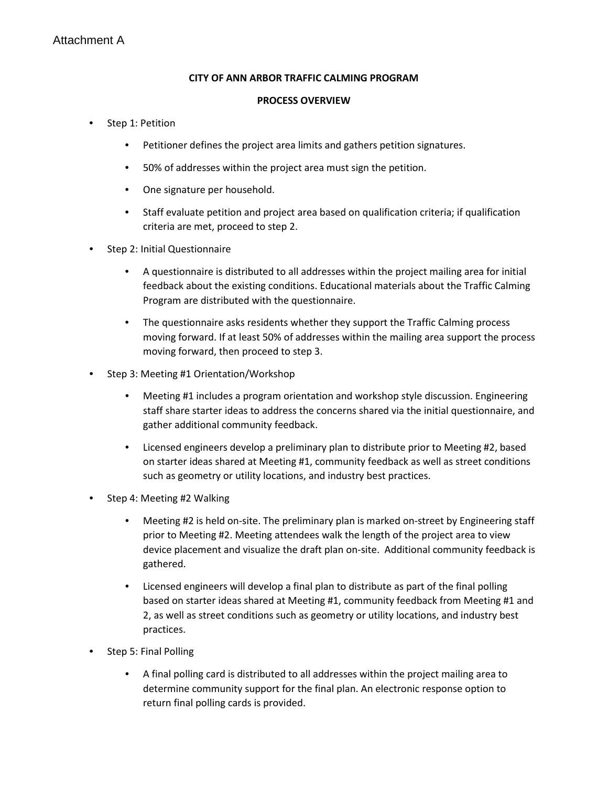#### **CITY OF ANN ARBOR TRAFFIC CALMING PROGRAM**

#### **PROCESS OVERVIEW**

- Step 1: Petition
	- Petitioner defines the project area limits and gathers petition signatures.
	- 50% of addresses within the project area must sign the petition.
	- One signature per household.
	- Staff evaluate petition and project area based on qualification criteria; if qualification criteria are met, proceed to step 2.
- Step 2: Initial Questionnaire
	- A questionnaire is distributed to all addresses within the project mailing area for initial feedback about the existing conditions. Educational materials about the Traffic Calming Program are distributed with the questionnaire.
	- The questionnaire asks residents whether they support the Traffic Calming process moving forward. If at least 50% of addresses within the mailing area support the process moving forward, then proceed to step 3.
- Step 3: Meeting #1 Orientation/Workshop
	- Meeting #1 includes a program orientation and workshop style discussion. Engineering staff share starter ideas to address the concerns shared via the initial questionnaire, and gather additional community feedback.
	- Licensed engineers develop a preliminary plan to distribute prior to Meeting #2, based on starter ideas shared at Meeting #1, community feedback as well as street conditions such as geometry or utility locations, and industry best practices.
- Step 4: Meeting #2 Walking
	- Meeting #2 is held on-site. The preliminary plan is marked on-street by Engineering staff prior to Meeting #2. Meeting attendees walk the length of the project area to view device placement and visualize the draft plan on-site. Additional community feedback is gathered.
	- Licensed engineers will develop a final plan to distribute as part of the final polling based on starter ideas shared at Meeting #1, community feedback from Meeting #1 and 2, as well as street conditions such as geometry or utility locations, and industry best practices.
- Step 5: Final Polling
	- A final polling card is distributed to all addresses within the project mailing area to determine community support for the final plan. An electronic response option to return final polling cards is provided.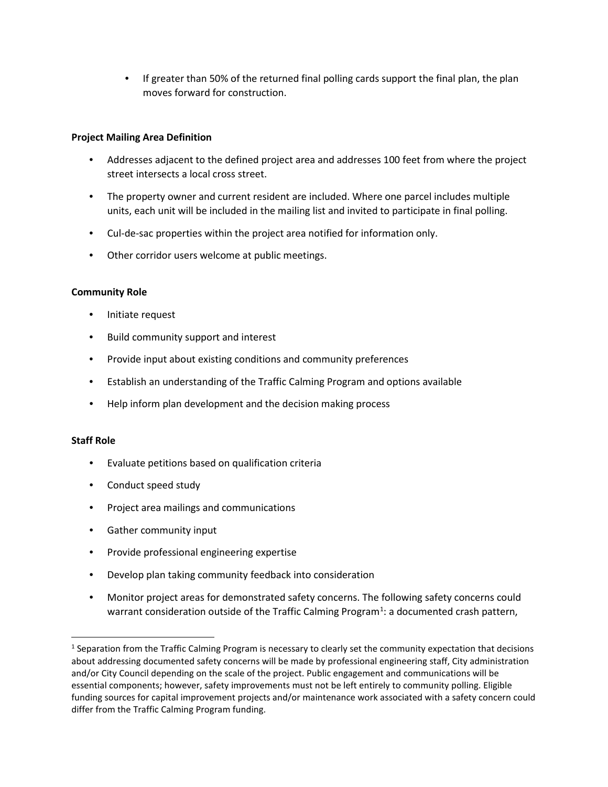• If greater than 50% of the returned final polling cards support the final plan, the plan moves forward for construction.

#### **Project Mailing Area Definition**

- Addresses adjacent to the defined project area and addresses 100 feet from where the project street intersects a local cross street.
- The property owner and current resident are included. Where one parcel includes multiple units, each unit will be included in the mailing list and invited to participate in final polling.
- Cul-de-sac properties within the project area notified for information only.
- Other corridor users welcome at public meetings.

#### **Community Role**

- Initiate request
- Build community support and interest
- Provide input about existing conditions and community preferences
- Establish an understanding of the Traffic Calming Program and options available
- Help inform plan development and the decision making process

#### **Staff Role**

- Evaluate petitions based on qualification criteria
- Conduct speed study
- Project area mailings and communications
- Gather community input
- Provide professional engineering expertise
- Develop plan taking community feedback into consideration
- Monitor project areas for demonstrated safety concerns. The following safety concerns could warrant consideration outside of the Traffic Calming Program<sup>[1](#page-1-0)</sup>: a documented crash pattern,

<span id="page-1-0"></span><sup>&</sup>lt;sup>1</sup> Separation from the Traffic Calming Program is necessary to clearly set the community expectation that decisions about addressing documented safety concerns will be made by professional engineering staff, City administration and/or City Council depending on the scale of the project. Public engagement and communications will be essential components; however, safety improvements must not be left entirely to community polling. Eligible funding sources for capital improvement projects and/or maintenance work associated with a safety concern could differ from the Traffic Calming Program funding.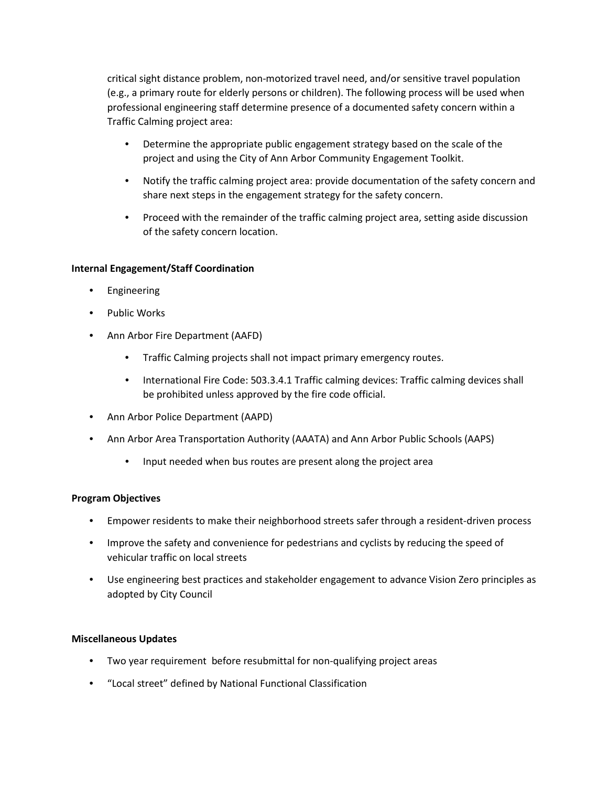critical sight distance problem, non-motorized travel need, and/or sensitive travel population (e.g., a primary route for elderly persons or children). The following process will be used when professional engineering staff determine presence of a documented safety concern within a Traffic Calming project area:

- Determine the appropriate public engagement strategy based on the scale of the project and using the City of Ann Arbor Community Engagement Toolkit.
- Notify the traffic calming project area: provide documentation of the safety concern and share next steps in the engagement strategy for the safety concern.
- Proceed with the remainder of the traffic calming project area, setting aside discussion of the safety concern location.

#### **Internal Engagement/Staff Coordination**

- **Engineering**
- Public Works
- Ann Arbor Fire Department (AAFD)
	- Traffic Calming projects shall not impact primary emergency routes.
	- International Fire Code: 503.3.4.1 Traffic calming devices: Traffic calming devices shall be prohibited unless approved by the fire code official.
- Ann Arbor Police Department (AAPD)
- Ann Arbor Area Transportation Authority (AAATA) and Ann Arbor Public Schools (AAPS)
	- Input needed when bus routes are present along the project area

#### **Program Objectives**

- Empower residents to make their neighborhood streets safer through a resident-driven process
- Improve the safety and convenience for pedestrians and cyclists by reducing the speed of vehicular traffic on local streets
- Use engineering best practices and stakeholder engagement to advance Vision Zero principles as adopted by City Council

#### **Miscellaneous Updates**

- Two year requirement before resubmittal for non-qualifying project areas
- "Local street" defined by National Functional Classification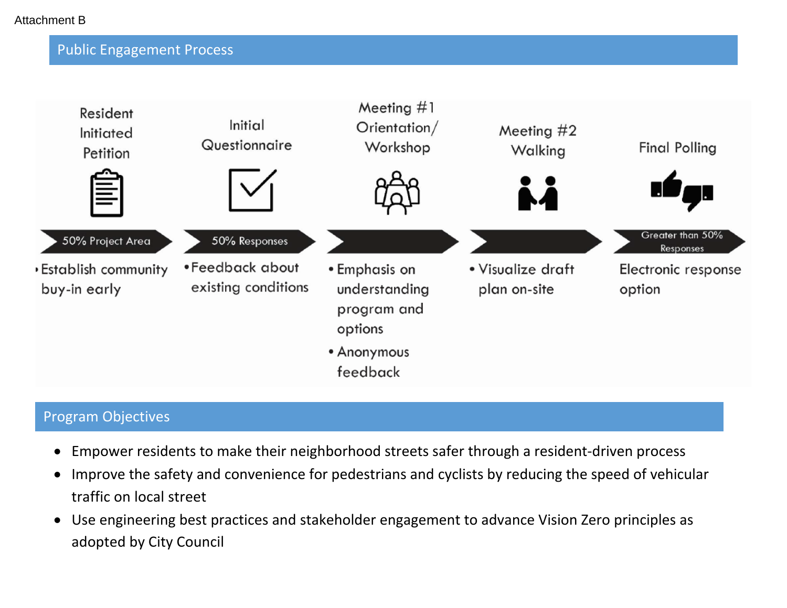## Public Engagement Process



## Program Objectives

- Empower residents to make their neighborhood streets safer through a resident-driven process
- Improve the safety and convenience for pedestrians and cyclists by reducing the speed of vehicular traffic on local street
- Use engineering best practices and stakeholder engagement to advance Vision Zero principles as adopted by City Council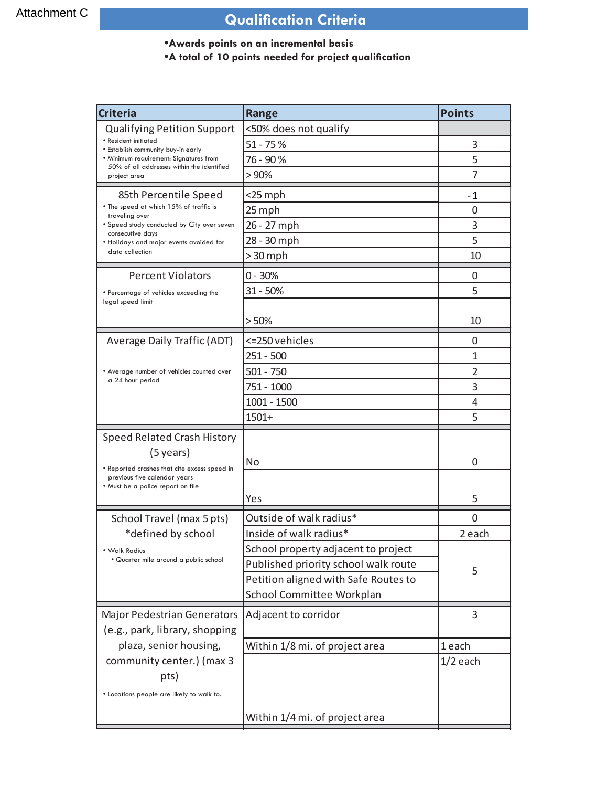# **Qualification Criteria**

## **\*Awards points on an incremental basis**

## **.A** total of 10 points needed for project qualification

| <b>Criteria</b>                                                                      | <b>Range</b>                         | <b>Points</b>  |
|--------------------------------------------------------------------------------------|--------------------------------------|----------------|
| <b>Qualifying Petition Support</b>                                                   | <50% does not qualify                |                |
| • Resident initiated<br>• Establish community buy-in early                           | $51 - 75%$                           | 3              |
| • Minimum requirement: Signatures from<br>50% of all addresses within the identified | 76 - 90 %                            | 5              |
| project area                                                                         | >90%                                 | 7              |
| 85th Percentile Speed                                                                | $<$ 25 mph                           | - 1            |
| • The speed at which 15% of traffic is<br>traveling over                             | 25 mph                               | 0              |
| • Speed study conducted by City over seven                                           | 26 - 27 mph                          | 3              |
| consecutive days<br>. Holidays and major events avoided for                          | 28 - 30 mph                          | 5              |
| data collection                                                                      | > 30 mph                             | 10             |
| <b>Percent Violators</b>                                                             | $0 - 30%$                            | $\Omega$       |
| • Percentage of vehicles exceeding the                                               | $31 - 50%$                           | 5              |
| legal speed limit                                                                    |                                      |                |
|                                                                                      | >50%                                 | 10             |
| <b>Average Daily Traffic (ADT)</b>                                                   | <= 250 vehicles                      | 0              |
|                                                                                      | $251 - 500$                          | 1              |
| • Average number of vehicles counted over                                            | $501 - 750$                          | 2              |
| a 24 hour period                                                                     | 751 - 1000                           | 3              |
|                                                                                      | 1001 - 1500                          | 4              |
|                                                                                      | $1501+$                              | 5              |
| Speed Related Crash History                                                          |                                      |                |
| $(5 \,\text{years})$                                                                 |                                      |                |
| • Reported crashes that cite excess speed in                                         | No                                   | $\Omega$       |
| previous five calendar years<br>. Must be a police report on file                    |                                      |                |
|                                                                                      | Yes                                  | 5              |
| School Travel (max 5 pts)                                                            | Outside of walk radius*              | $\overline{0}$ |
| *defined by school                                                                   | Inside of walk radius*               | 2 each         |
| • Walk Radius                                                                        | School property adjacent to project  |                |
| • Quarter mile around a public school                                                | Published priority school walk route | 5              |
|                                                                                      | Petition aligned with Safe Routes to |                |
|                                                                                      | School Committee Workplan            |                |
| <b>Major Pedestrian Generators</b>                                                   | Adjacent to corridor                 | 3              |
| (e.g., park, library, shopping                                                       |                                      |                |
| plaza, senior housing,                                                               | Within 1/8 mi. of project area       | 1 each         |
| community center.) (max 3                                                            |                                      | $1/2$ each     |
| pts)                                                                                 |                                      |                |
| • Locations people are likely to walk to.                                            |                                      |                |
|                                                                                      | Within 1/4 mi. of project area       |                |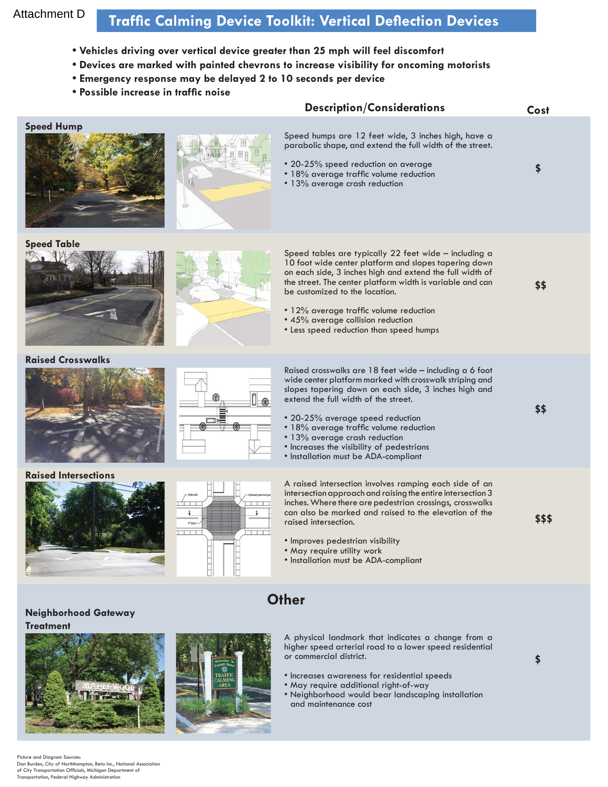## Attachment D

# **Traffic Calming Device Toolkit: Vertical Deflection Devices**

- Vehicles driving over vertical device greater than 25 mph will feel discomfort
- **.** Devices are marked with painted chevrons to increase visibility for oncoming motorists
- **Emergency response may be delayed 2 to 10 seconds per device**
- **Possible increase in traffic noise**

|                                             |            | <b>Description/Considerations</b>                                                                                                                                                                                                                                                                                                                                                                                      | Cost   |  |
|---------------------------------------------|------------|------------------------------------------------------------------------------------------------------------------------------------------------------------------------------------------------------------------------------------------------------------------------------------------------------------------------------------------------------------------------------------------------------------------------|--------|--|
| <b>Speed Hump</b>                           | B          | Speed humps are 12 feet wide, 3 inches high, have a<br>parabolic shape, and extend the full width of the street.<br>• 20-25% speed reduction on average<br>• 18% average traffic volume reduction<br>• 13% average crash reduction                                                                                                                                                                                     | \$     |  |
| <b>Speed Table</b>                          |            | Speed tables are typically 22 feet wide - including a<br>10 foot wide center platform and slopes tapering down<br>on each side, 3 inches high and extend the full width of<br>the street. The center platform width is variable and can<br>be customized to the location.<br>• 12% average traffic volume reduction<br>• 45% average collision reduction<br>• Less speed reduction than speed humps                    | \$\$   |  |
| <b>Raised Crosswalks</b>                    |            | Raised crosswalks are 18 feet wide - including a 6 foot<br>wide center platform marked with crosswalk striping and<br>slopes tapering down on each side, 3 inches high and<br>extend the full width of the street.<br>• 20-25% average speed reduction<br>• 18% average traffic volume reduction<br>• 13% average crash reduction<br>• Increases the visibility of pedestrians<br>· Installation must be ADA-compliant | \$\$   |  |
| <b>Raised Intersections</b>                 | $0$ (typ.) | A raised intersection involves ramping each side of an<br>intersection approach and raising the entire intersection 3<br>inches. Where there are pedestrian crossings, crosswalks<br>can also be marked and raised to the elevation of the<br>raised intersection.<br>· Improves pedestrian visibility<br>. May require utility work<br>• Installation must be ADA-compliant                                           | \$\$\$ |  |
| <b>Other</b><br><b>Neighborhood Gateway</b> |            |                                                                                                                                                                                                                                                                                                                                                                                                                        |        |  |
| <b>Treatment</b>                            |            | A physical landmark that indicates a change from a<br>higher speed arterial road to a lower speed residential<br>or commercial district.<br>• Increases awareness for residential speeds<br>. May require additional right-of-way<br>• Neighborhood would bear landscaping installation<br>and maintenance cost                                                                                                        |        |  |

Picture and Diagram Sources:<br>Dan Burden, City of Northhampton, Beta Inc., National Association of City Transportation Officials, Michigan Department of<br>Transportation, Federal Highway Administration

Also Care and Council Street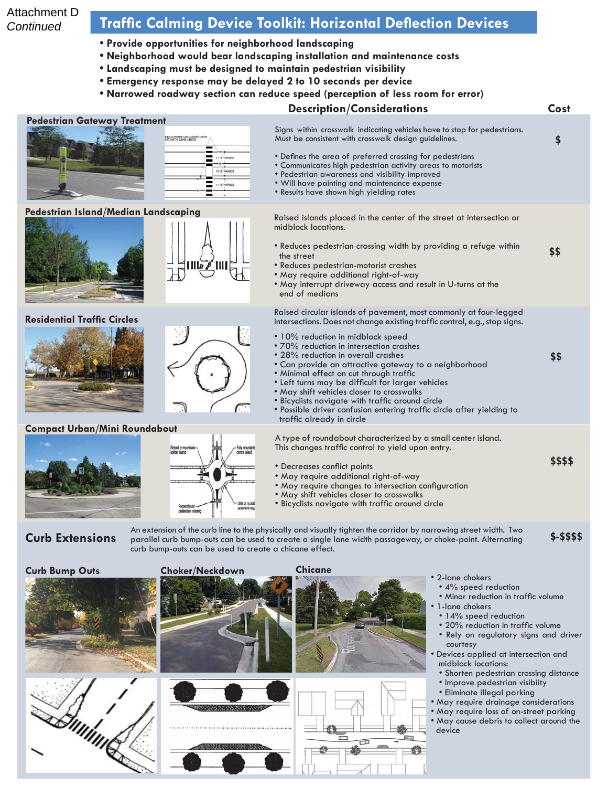### Attachment D **Continued**

## **Traffic Calming Device Toolkit: Horizontal Deflection Devices**

- **Provide opportunities for neighborhood landscaping**
- **Neighborhood would bear landscaping installation and maintenance costs**
- $\bullet$  Landscaping must be designed to maintain pedestrian visibility
- **Emergency response may be delayed 2 to 10 seconds per device**
- **Narrowed roadway section can reduce speed (perception of less room for error)**

# **Description/Considerations** Cost







- Minor reduction in traffic volume
- 1-lane chokers

Œ

- 14% speed reduction
- 20% reduction in traffic volume Rely on regulatory signs and driver courtesy
- Devices applied at intersection and midblock locations:
	- Shorten pedestrian crossing distance
	- Improve pedestrian visibiity
	- Eliminate illegal parking
- May require drainage considerations
- May require loss of on-street parking • May cause debris to collect around the device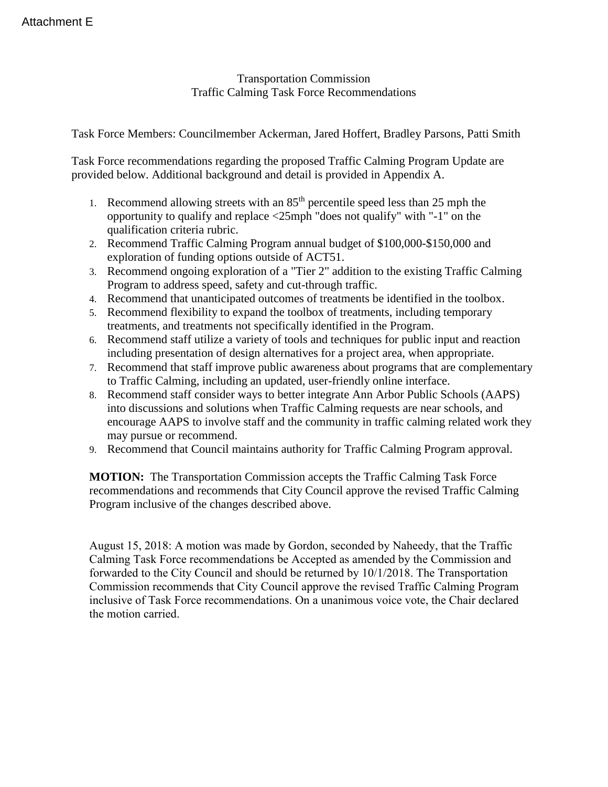Transportation Commission Traffic Calming Task Force Recommendations

Task Force Members: Councilmember Ackerman, Jared Hoffert, Bradley Parsons, Patti Smith

Task Force recommendations regarding the proposed Traffic Calming Program Update are provided below. Additional background and detail is provided in Appendix A.

- 1. Recommend allowing streets with an  $85<sup>th</sup>$  percentile speed less than 25 mph the opportunity to qualify and replace <25mph "does not qualify" with "-1" on the qualification criteria rubric.
- 2. Recommend Traffic Calming Program annual budget of \$100,000-\$150,000 and exploration of funding options outside of ACT51.
- 3. Recommend ongoing exploration of a "Tier 2" addition to the existing Traffic Calming Program to address speed, safety and cut-through traffic.
- 4. Recommend that unanticipated outcomes of treatments be identified in the toolbox.
- 5. Recommend flexibility to expand the toolbox of treatments, including temporary treatments, and treatments not specifically identified in the Program.
- 6. Recommend staff utilize a variety of tools and techniques for public input and reaction including presentation of design alternatives for a project area, when appropriate.
- 7. Recommend that staff improve public awareness about programs that are complementary to Traffic Calming, including an updated, user-friendly online interface.
- 8. Recommend staff consider ways to better integrate Ann Arbor Public Schools (AAPS) into discussions and solutions when Traffic Calming requests are near schools, and encourage AAPS to involve staff and the community in traffic calming related work they may pursue or recommend.
- 9. Recommend that Council maintains authority for Traffic Calming Program approval.

**MOTION:** The Transportation Commission accepts the Traffic Calming Task Force recommendations and recommends that City Council approve the revised Traffic Calming Program inclusive of the changes described above.

August 15, 2018: A motion was made by Gordon, seconded by Naheedy, that the Traffic Calming Task Force recommendations be Accepted as amended by the Commission and forwarded to the City Council and should be returned by 10/1/2018. The Transportation Commission recommends that City Council approve the revised Traffic Calming Program inclusive of Task Force recommendations. On a unanimous voice vote, the Chair declared the motion carried.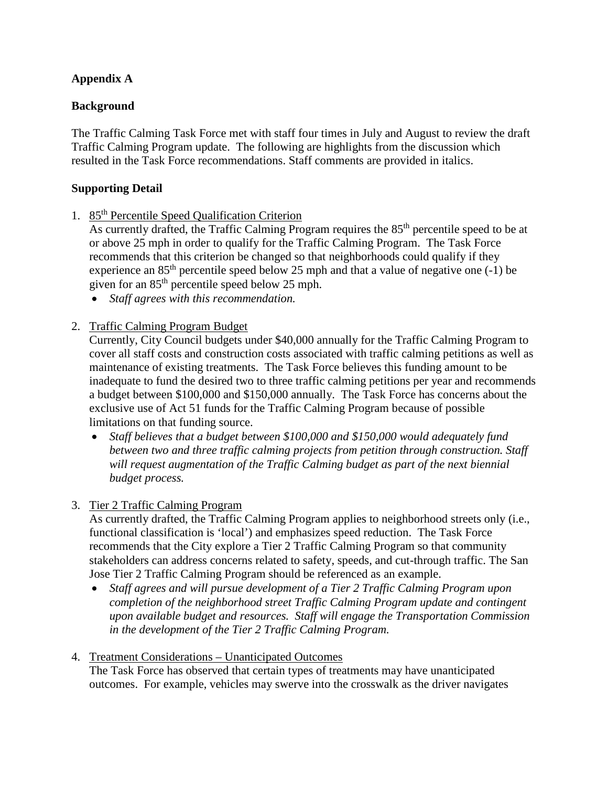## **Appendix A**

### **Background**

The Traffic Calming Task Force met with staff four times in July and August to review the draft Traffic Calming Program update. The following are highlights from the discussion which resulted in the Task Force recommendations. Staff comments are provided in italics.

### **Supporting Detail**

1. 85th Percentile Speed Qualification Criterion

As currently drafted, the Traffic Calming Program requires the 85<sup>th</sup> percentile speed to be at or above 25 mph in order to qualify for the Traffic Calming Program. The Task Force recommends that this criterion be changed so that neighborhoods could qualify if they experience an  $85<sup>th</sup>$  percentile speed below 25 mph and that a value of negative one (-1) be given for an 85th percentile speed below 25 mph.

- *Staff agrees with this recommendation.*
- 2. Traffic Calming Program Budget

Currently, City Council budgets under \$40,000 annually for the Traffic Calming Program to cover all staff costs and construction costs associated with traffic calming petitions as well as maintenance of existing treatments. The Task Force believes this funding amount to be inadequate to fund the desired two to three traffic calming petitions per year and recommends a budget between \$100,000 and \$150,000 annually. The Task Force has concerns about the exclusive use of Act 51 funds for the Traffic Calming Program because of possible limitations on that funding source.

- *Staff believes that a budget between \$100,000 and \$150,000 would adequately fund between two and three traffic calming projects from petition through construction. Staff will request augmentation of the Traffic Calming budget as part of the next biennial budget process.*
- 3. Tier 2 Traffic Calming Program

As currently drafted, the Traffic Calming Program applies to neighborhood streets only (i.e., functional classification is 'local') and emphasizes speed reduction. The Task Force recommends that the City explore a Tier 2 Traffic Calming Program so that community stakeholders can address concerns related to safety, speeds, and cut-through traffic. The San Jose Tier 2 Traffic Calming Program should be referenced as an example.

- *Staff agrees and will pursue development of a Tier 2 Traffic Calming Program upon completion of the neighborhood street Traffic Calming Program update and contingent upon available budget and resources. Staff will engage the Transportation Commission in the development of the Tier 2 Traffic Calming Program.*
- 4. Treatment Considerations Unanticipated Outcomes The Task Force has observed that certain types of treatments may have unanticipated outcomes. For example, vehicles may swerve into the crosswalk as the driver navigates